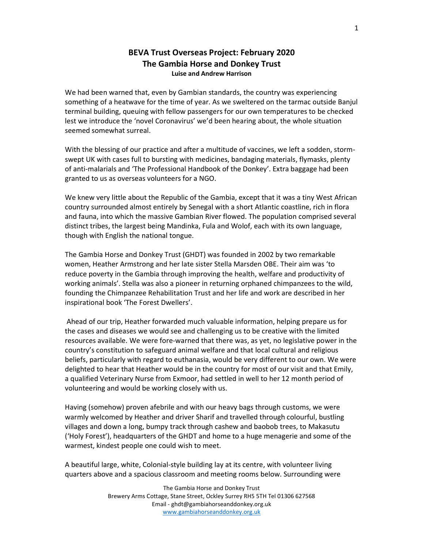## BEVA Trust Overseas Project: February 2020 The Gambia Horse and Donkey Trust Luise and Andrew Harrison

We had been warned that, even by Gambian standards, the country was experiencing something of a heatwave for the time of year. As we sweltered on the tarmac outside Banjul terminal building, queuing with fellow passengers for our own temperatures to be checked lest we introduce the 'novel Coronavirus' we'd been hearing about, the whole situation seemed somewhat surreal.

With the blessing of our practice and after a multitude of vaccines, we left a sodden, stormswept UK with cases full to bursting with medicines, bandaging materials, flymasks, plenty of anti-malarials and 'The Professional Handbook of the Donkey'. Extra baggage had been granted to us as overseas volunteers for a NGO.

We knew very little about the Republic of the Gambia, except that it was a tiny West African country surrounded almost entirely by Senegal with a short Atlantic coastline, rich in flora and fauna, into which the massive Gambian River flowed. The population comprised several distinct tribes, the largest being Mandinka, Fula and Wolof, each with its own language, though with English the national tongue.

The Gambia Horse and Donkey Trust (GHDT) was founded in 2002 by two remarkable women, Heather Armstrong and her late sister Stella Marsden OBE. Their aim was 'to reduce poverty in the Gambia through improving the health, welfare and productivity of working animals'. Stella was also a pioneer in returning orphaned chimpanzees to the wild, founding the Chimpanzee Rehabilitation Trust and her life and work are described in her inspirational book 'The Forest Dwellers'.

 Ahead of our trip, Heather forwarded much valuable information, helping prepare us for the cases and diseases we would see and challenging us to be creative with the limited resources available. We were fore-warned that there was, as yet, no legislative power in the country's constitution to safeguard animal welfare and that local cultural and religious beliefs, particularly with regard to euthanasia, would be very different to our own. We were delighted to hear that Heather would be in the country for most of our visit and that Emily, a qualified Veterinary Nurse from Exmoor, had settled in well to her 12 month period of volunteering and would be working closely with us.

Having (somehow) proven afebrile and with our heavy bags through customs, we were warmly welcomed by Heather and driver Sharif and travelled through colourful, bustling villages and down a long, bumpy track through cashew and baobob trees, to Makasutu ('Holy Forest'), headquarters of the GHDT and home to a huge menagerie and some of the warmest, kindest people one could wish to meet.

A beautiful large, white, Colonial-style building lay at its centre, with volunteer living quarters above and a spacious classroom and meeting rooms below. Surrounding were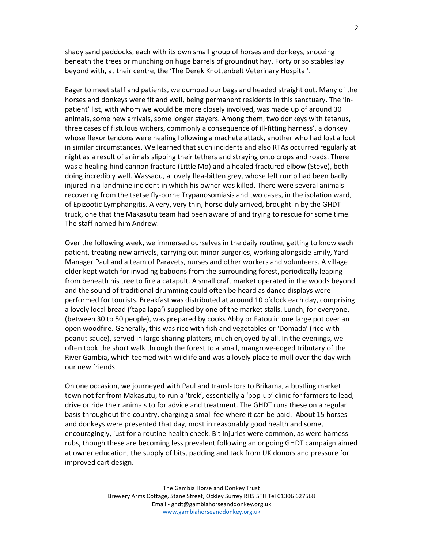shady sand paddocks, each with its own small group of horses and donkeys, snoozing beneath the trees or munching on huge barrels of groundnut hay. Forty or so stables lay beyond with, at their centre, the 'The Derek Knottenbelt Veterinary Hospital'.

Eager to meet staff and patients, we dumped our bags and headed straight out. Many of the horses and donkeys were fit and well, being permanent residents in this sanctuary. The 'inpatient' list, with whom we would be more closely involved, was made up of around 30 animals, some new arrivals, some longer stayers. Among them, two donkeys with tetanus, three cases of fistulous withers, commonly a consequence of ill-fitting harness', a donkey whose flexor tendons were healing following a machete attack, another who had lost a foot in similar circumstances. We learned that such incidents and also RTAs occurred regularly at night as a result of animals slipping their tethers and straying onto crops and roads. There was a healing hind cannon fracture (Little Mo) and a healed fractured elbow (Steve), both doing incredibly well. Wassadu, a lovely flea-bitten grey, whose left rump had been badly injured in a landmine incident in which his owner was killed. There were several animals recovering from the tsetse fly-borne Trypanosomiasis and two cases, in the isolation ward, of Epizootic Lymphangitis. A very, very thin, horse duly arrived, brought in by the GHDT truck, one that the Makasutu team had been aware of and trying to rescue for some time. The staff named him Andrew.

Over the following week, we immersed ourselves in the daily routine, getting to know each patient, treating new arrivals, carrying out minor surgeries, working alongside Emily, Yard Manager Paul and a team of Paravets, nurses and other workers and volunteers. A village elder kept watch for invading baboons from the surrounding forest, periodically leaping from beneath his tree to fire a catapult. A small craft market operated in the woods beyond and the sound of traditional drumming could often be heard as dance displays were performed for tourists. Breakfast was distributed at around 10 o'clock each day, comprising a lovely local bread ('tapa lapa') supplied by one of the market stalls. Lunch, for everyone, (between 30 to 50 people), was prepared by cooks Abby or Fatou in one large pot over an open woodfire. Generally, this was rice with fish and vegetables or 'Domada' (rice with peanut sauce), served in large sharing platters, much enjoyed by all. In the evenings, we often took the short walk through the forest to a small, mangrove-edged tributary of the River Gambia, which teemed with wildlife and was a lovely place to mull over the day with our new friends.

On one occasion, we journeyed with Paul and translators to Brikama, a bustling market town not far from Makasutu, to run a 'trek', essentially a 'pop-up' clinic for farmers to lead, drive or ride their animals to for advice and treatment. The GHDT runs these on a regular basis throughout the country, charging a small fee where it can be paid. About 15 horses and donkeys were presented that day, most in reasonably good health and some, encouragingly, just for a routine health check. Bit injuries were common, as were harness rubs, though these are becoming less prevalent following an ongoing GHDT campaign aimed at owner education, the supply of bits, padding and tack from UK donors and pressure for improved cart design.

> The Gambia Horse and Donkey Trust Brewery Arms Cottage, Stane Street, Ockley Surrey RH5 5TH Tel 01306 627568 Email - ghdt@gambiahorseanddonkey.org.uk www.gambiahorseanddonkey.org.uk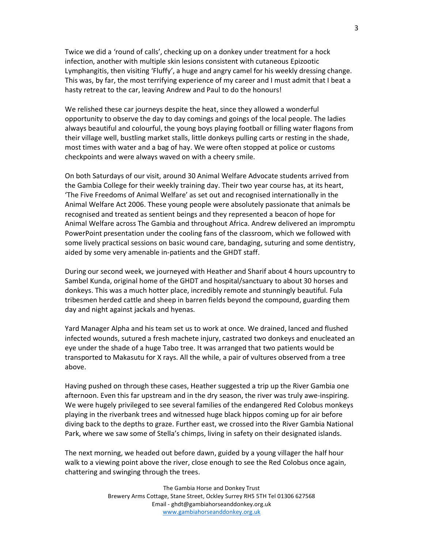Twice we did a 'round of calls', checking up on a donkey under treatment for a hock infection, another with multiple skin lesions consistent with cutaneous Epizootic Lymphangitis, then visiting 'Fluffy', a huge and angry camel for his weekly dressing change. This was, by far, the most terrifying experience of my career and I must admit that I beat a hasty retreat to the car, leaving Andrew and Paul to do the honours!

We relished these car journeys despite the heat, since they allowed a wonderful opportunity to observe the day to day comings and goings of the local people. The ladies always beautiful and colourful, the young boys playing football or filling water flagons from their village well, bustling market stalls, little donkeys pulling carts or resting in the shade, most times with water and a bag of hay. We were often stopped at police or customs checkpoints and were always waved on with a cheery smile.

On both Saturdays of our visit, around 30 Animal Welfare Advocate students arrived from the Gambia College for their weekly training day. Their two year course has, at its heart, 'The Five Freedoms of Animal Welfare' as set out and recognised internationally in the Animal Welfare Act 2006. These young people were absolutely passionate that animals be recognised and treated as sentient beings and they represented a beacon of hope for Animal Welfare across The Gambia and throughout Africa. Andrew delivered an impromptu PowerPoint presentation under the cooling fans of the classroom, which we followed with some lively practical sessions on basic wound care, bandaging, suturing and some dentistry, aided by some very amenable in-patients and the GHDT staff.

During our second week, we journeyed with Heather and Sharif about 4 hours upcountry to Sambel Kunda, original home of the GHDT and hospital/sanctuary to about 30 horses and donkeys. This was a much hotter place, incredibly remote and stunningly beautiful. Fula tribesmen herded cattle and sheep in barren fields beyond the compound, guarding them day and night against jackals and hyenas.

Yard Manager Alpha and his team set us to work at once. We drained, lanced and flushed infected wounds, sutured a fresh machete injury, castrated two donkeys and enucleated an eye under the shade of a huge Tabo tree. It was arranged that two patients would be transported to Makasutu for X rays. All the while, a pair of vultures observed from a tree above.

Having pushed on through these cases, Heather suggested a trip up the River Gambia one afternoon. Even this far upstream and in the dry season, the river was truly awe-inspiring. We were hugely privileged to see several families of the endangered Red Colobus monkeys playing in the riverbank trees and witnessed huge black hippos coming up for air before diving back to the depths to graze. Further east, we crossed into the River Gambia National Park, where we saw some of Stella's chimps, living in safety on their designated islands.

The next morning, we headed out before dawn, guided by a young villager the half hour walk to a viewing point above the river, close enough to see the Red Colobus once again, chattering and swinging through the trees.